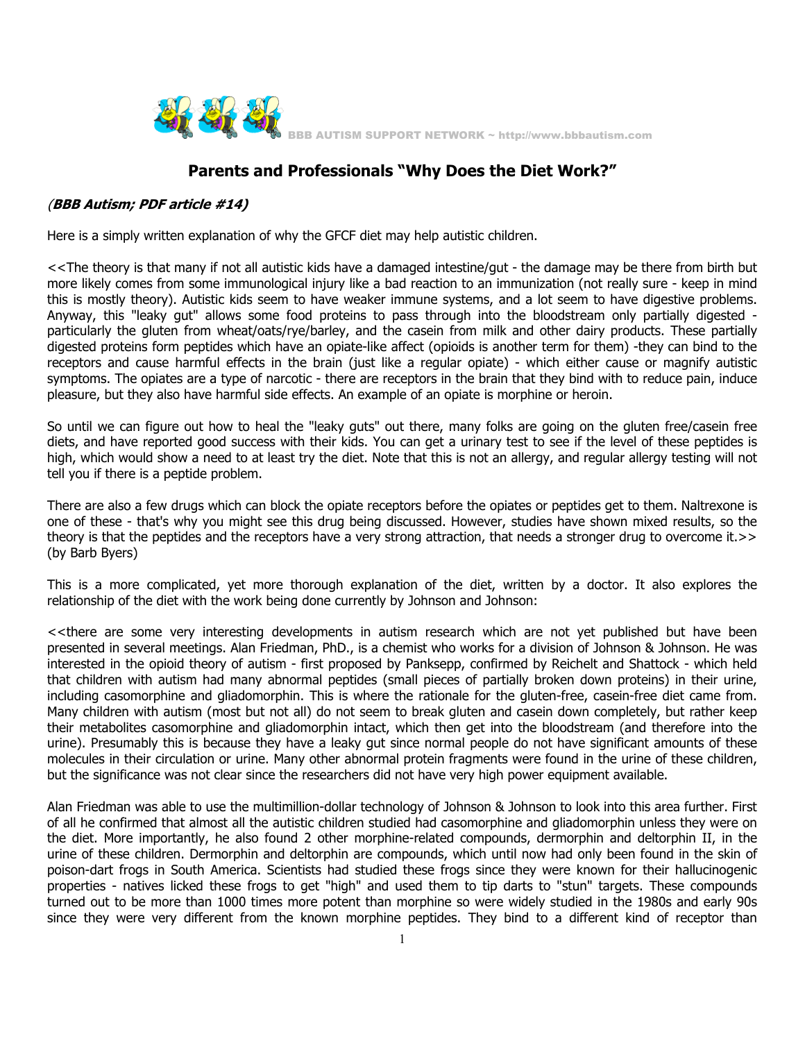

## **Parents and Professionals "Why Does the Diet Work?"**

## (**BBB Autism; PDF article #14)**

Here is a simply written explanation of why the GFCF diet may help autistic children.

<<The theory is that many if not all autistic kids have a damaged intestine/gut - the damage may be there from birth but more likely comes from some immunological injury like a bad reaction to an immunization (not really sure - keep in mind this is mostly theory). Autistic kids seem to have weaker immune systems, and a lot seem to have digestive problems. Anyway, this "leaky gut" allows some food proteins to pass through into the bloodstream only partially digested particularly the gluten from wheat/oats/rye/barley, and the casein from milk and other dairy products. These partially digested proteins form peptides which have an opiate-like affect (opioids is another term for them) -they can bind to the receptors and cause harmful effects in the brain (just like a regular opiate) - which either cause or magnify autistic symptoms. The opiates are a type of narcotic - there are receptors in the brain that they bind with to reduce pain, induce pleasure, but they also have harmful side effects. An example of an opiate is morphine or heroin.

So until we can figure out how to heal the "leaky guts" out there, many folks are going on the gluten free/casein free diets, and have reported good success with their kids. You can get a urinary test to see if the level of these peptides is high, which would show a need to at least try the diet. Note that this is not an allergy, and regular allergy testing will not tell you if there is a peptide problem.

There are also a few drugs which can block the opiate receptors before the opiates or peptides get to them. Naltrexone is one of these - that's why you might see this drug being discussed. However, studies have shown mixed results, so the theory is that the peptides and the receptors have a very strong attraction, that needs a stronger drug to overcome it.>> (by Barb Byers)

This is a more complicated, yet more thorough explanation of the diet, written by a doctor. It also explores the relationship of the diet with the work being done currently by Johnson and Johnson:

<<there are some very interesting developments in autism research which are not yet published but have been presented in several meetings. Alan Friedman, PhD., is a chemist who works for a division of Johnson & Johnson. He was interested in the opioid theory of autism - first proposed by Panksepp, confirmed by Reichelt and Shattock - which held that children with autism had many abnormal peptides (small pieces of partially broken down proteins) in their urine, including casomorphine and gliadomorphin. This is where the rationale for the gluten-free, casein-free diet came from. Many children with autism (most but not all) do not seem to break gluten and casein down completely, but rather keep their metabolites casomorphine and gliadomorphin intact, which then get into the bloodstream (and therefore into the urine). Presumably this is because they have a leaky gut since normal people do not have significant amounts of these molecules in their circulation or urine. Many other abnormal protein fragments were found in the urine of these children, but the significance was not clear since the researchers did not have very high power equipment available.

Alan Friedman was able to use the multimillion-dollar technology of Johnson & Johnson to look into this area further. First of all he confirmed that almost all the autistic children studied had casomorphine and gliadomorphin unless they were on the diet. More importantly, he also found 2 other morphine-related compounds, dermorphin and deltorphin II, in the urine of these children. Dermorphin and deltorphin are compounds, which until now had only been found in the skin of poison-dart frogs in South America. Scientists had studied these frogs since they were known for their hallucinogenic properties - natives licked these frogs to get "high" and used them to tip darts to "stun" targets. These compounds turned out to be more than 1000 times more potent than morphine so were widely studied in the 1980s and early 90s since they were very different from the known morphine peptides. They bind to a different kind of receptor than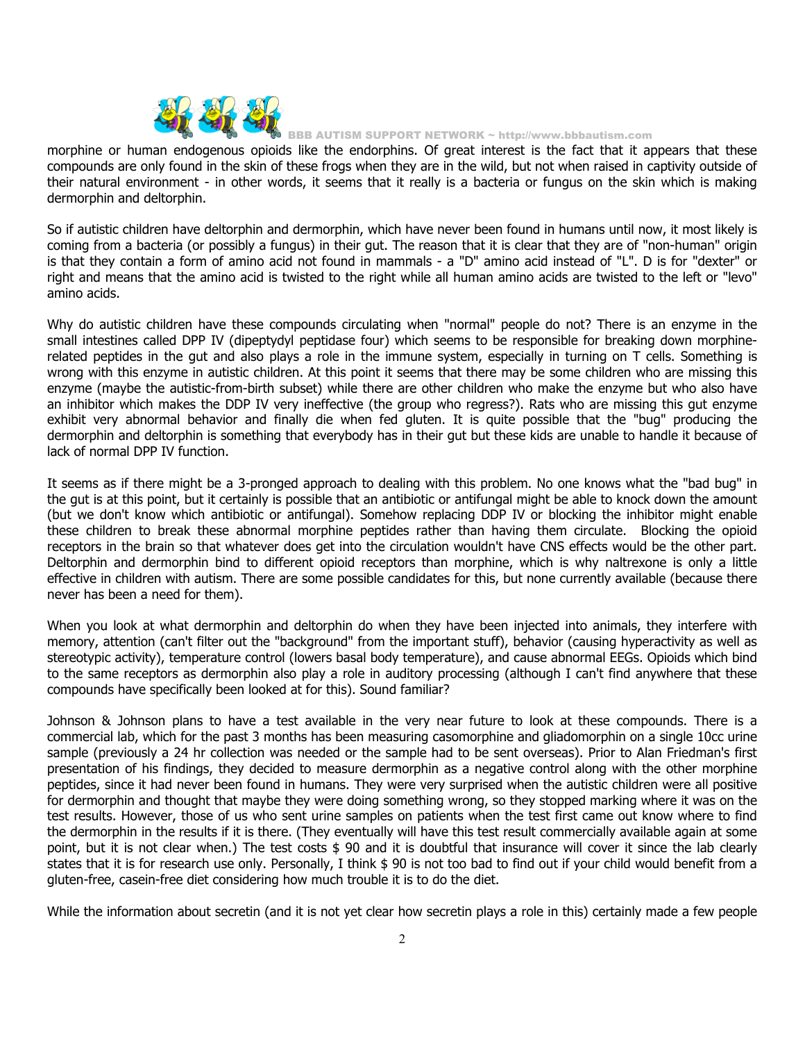

BB AUTISM SUPPORT NETWORK ~ http://www.bbbautism.com

morphine or human endogenous opioids like the endorphins. Of great interest is the fact that it appears that these compounds are only found in the skin of these frogs when they are in the wild, but not when raised in captivity outside of their natural environment - in other words, it seems that it really is a bacteria or fungus on the skin which is making dermorphin and deltorphin.

So if autistic children have deltorphin and dermorphin, which have never been found in humans until now, it most likely is coming from a bacteria (or possibly a fungus) in their gut. The reason that it is clear that they are of "non-human" origin is that they contain a form of amino acid not found in mammals - a "D" amino acid instead of "L". D is for "dexter" or right and means that the amino acid is twisted to the right while all human amino acids are twisted to the left or "levo" amino acids.

Why do autistic children have these compounds circulating when "normal" people do not? There is an enzyme in the small intestines called DPP IV (dipeptydyl peptidase four) which seems to be responsible for breaking down morphinerelated peptides in the gut and also plays a role in the immune system, especially in turning on T cells. Something is wrong with this enzyme in autistic children. At this point it seems that there may be some children who are missing this enzyme (maybe the autistic-from-birth subset) while there are other children who make the enzyme but who also have an inhibitor which makes the DDP IV very ineffective (the group who regress?). Rats who are missing this gut enzyme exhibit very abnormal behavior and finally die when fed gluten. It is quite possible that the "bug" producing the dermorphin and deltorphin is something that everybody has in their gut but these kids are unable to handle it because of lack of normal DPP IV function.

It seems as if there might be a 3-pronged approach to dealing with this problem. No one knows what the "bad bug" in the gut is at this point, but it certainly is possible that an antibiotic or antifungal might be able to knock down the amount (but we don't know which antibiotic or antifungal). Somehow replacing DDP IV or blocking the inhibitor might enable these children to break these abnormal morphine peptides rather than having them circulate. Blocking the opioid receptors in the brain so that whatever does get into the circulation wouldn't have CNS effects would be the other part. Deltorphin and dermorphin bind to different opioid receptors than morphine, which is why naltrexone is only a little effective in children with autism. There are some possible candidates for this, but none currently available (because there never has been a need for them).

When you look at what dermorphin and deltorphin do when they have been injected into animals, they interfere with memory, attention (can't filter out the "background" from the important stuff), behavior (causing hyperactivity as well as stereotypic activity), temperature control (lowers basal body temperature), and cause abnormal EEGs. Opioids which bind to the same receptors as dermorphin also play a role in auditory processing (although I can't find anywhere that these compounds have specifically been looked at for this). Sound familiar?

Johnson & Johnson plans to have a test available in the very near future to look at these compounds. There is a commercial lab, which for the past 3 months has been measuring casomorphine and gliadomorphin on a single 10cc urine sample (previously a 24 hr collection was needed or the sample had to be sent overseas). Prior to Alan Friedman's first presentation of his findings, they decided to measure dermorphin as a negative control along with the other morphine peptides, since it had never been found in humans. They were very surprised when the autistic children were all positive for dermorphin and thought that maybe they were doing something wrong, so they stopped marking where it was on the test results. However, those of us who sent urine samples on patients when the test first came out know where to find the dermorphin in the results if it is there. (They eventually will have this test result commercially available again at some point, but it is not clear when.) The test costs \$ 90 and it is doubtful that insurance will cover it since the lab clearly states that it is for research use only. Personally, I think \$ 90 is not too bad to find out if your child would benefit from a gluten-free, casein-free diet considering how much trouble it is to do the diet.

While the information about secretin (and it is not yet clear how secretin plays a role in this) certainly made a few people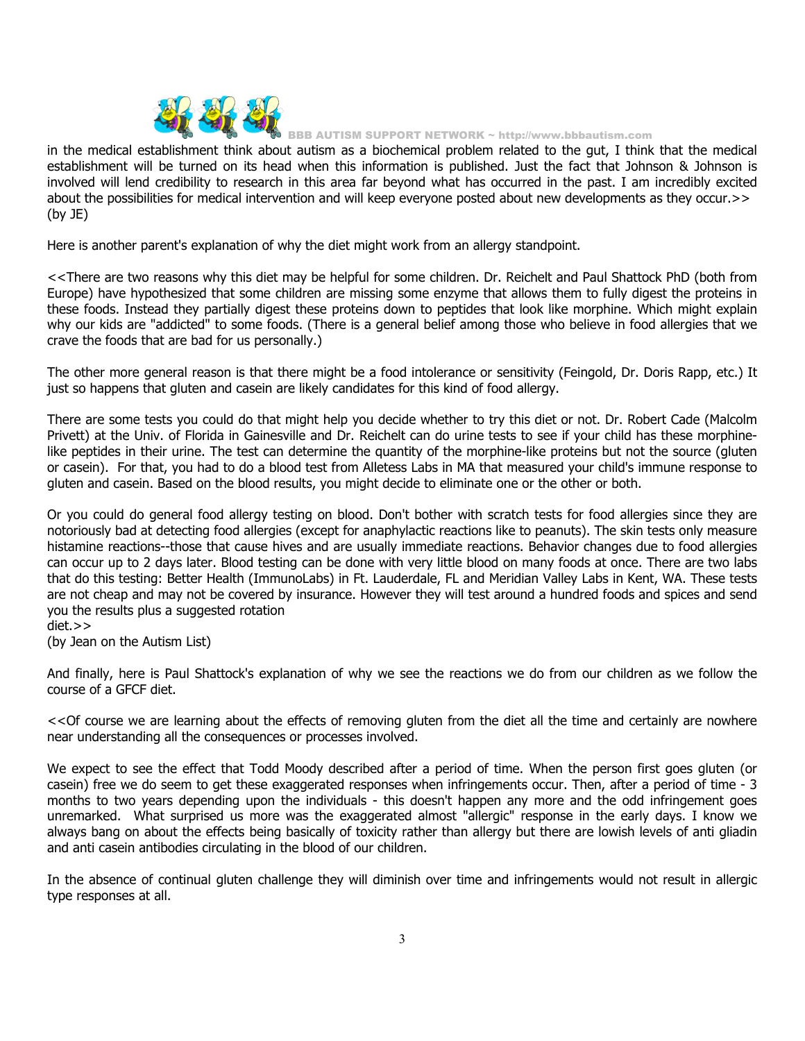

BB AUTISM SUPPORT NETWORK ~ http://www.bbbautism.com

in the medical establishment think about autism as a biochemical problem related to the gut, I think that the medical establishment will be turned on its head when this information is published. Just the fact that Johnson & Johnson is involved will lend credibility to research in this area far beyond what has occurred in the past. I am incredibly excited about the possibilities for medical intervention and will keep everyone posted about new developments as they occur.>> (by JE)

Here is another parent's explanation of why the diet might work from an allergy standpoint.

<<There are two reasons why this diet may be helpful for some children. Dr. Reichelt and Paul Shattock PhD (both from Europe) have hypothesized that some children are missing some enzyme that allows them to fully digest the proteins in these foods. Instead they partially digest these proteins down to peptides that look like morphine. Which might explain why our kids are "addicted" to some foods. (There is a general belief among those who believe in food allergies that we crave the foods that are bad for us personally.)

The other more general reason is that there might be a food intolerance or sensitivity (Feingold, Dr. Doris Rapp, etc.) It just so happens that gluten and casein are likely candidates for this kind of food allergy.

There are some tests you could do that might help you decide whether to try this diet or not. Dr. Robert Cade (Malcolm Privett) at the Univ. of Florida in Gainesville and Dr. Reichelt can do urine tests to see if your child has these morphinelike peptides in their urine. The test can determine the quantity of the morphine-like proteins but not the source (gluten or casein). For that, you had to do a blood test from Alletess Labs in MA that measured your child's immune response to gluten and casein. Based on the blood results, you might decide to eliminate one or the other or both.

Or you could do general food allergy testing on blood. Don't bother with scratch tests for food allergies since they are notoriously bad at detecting food allergies (except for anaphylactic reactions like to peanuts). The skin tests only measure histamine reactions--those that cause hives and are usually immediate reactions. Behavior changes due to food allergies can occur up to 2 days later. Blood testing can be done with very little blood on many foods at once. There are two labs that do this testing: Better Health (ImmunoLabs) in Ft. Lauderdale, FL and Meridian Valley Labs in Kent, WA. These tests are not cheap and may not be covered by insurance. However they will test around a hundred foods and spices and send you the results plus a suggested rotation

diet.>>

(by Jean on the Autism List)

And finally, here is Paul Shattock's explanation of why we see the reactions we do from our children as we follow the course of a GFCF diet.

<<Of course we are learning about the effects of removing gluten from the diet all the time and certainly are nowhere near understanding all the consequences or processes involved.

We expect to see the effect that Todd Moody described after a period of time. When the person first goes gluten (or casein) free we do seem to get these exaggerated responses when infringements occur. Then, after a period of time - 3 months to two years depending upon the individuals - this doesn't happen any more and the odd infringement goes unremarked. What surprised us more was the exaggerated almost "allergic" response in the early days. I know we always bang on about the effects being basically of toxicity rather than allergy but there are lowish levels of anti gliadin and anti casein antibodies circulating in the blood of our children.

In the absence of continual gluten challenge they will diminish over time and infringements would not result in allergic type responses at all.